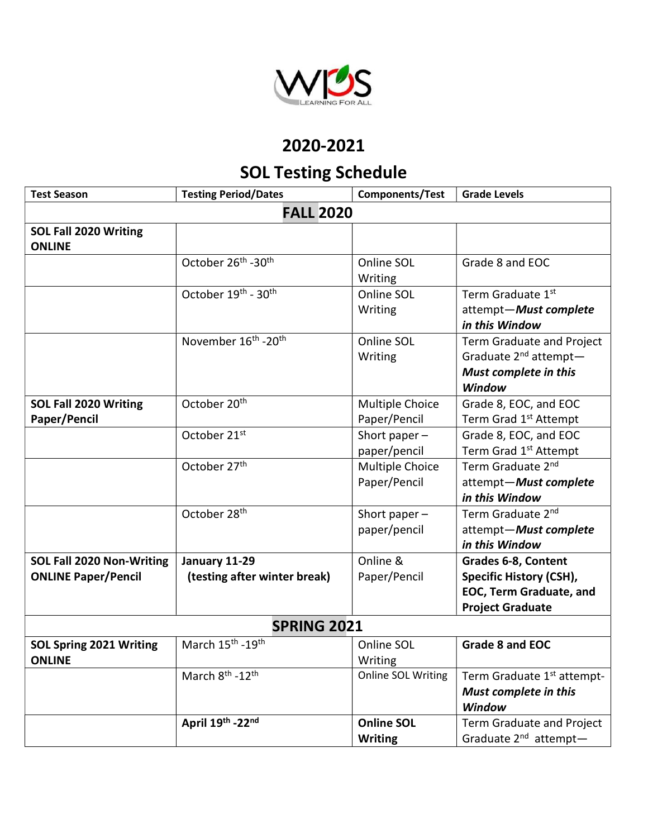

## 2020-2021

## SOL Testing Schedule

| <b>Test Season</b>                                             | <b>Testing Period/Dates</b>                   | Components/Test                     | <b>Grade Levels</b>                                                                                                |  |  |  |  |
|----------------------------------------------------------------|-----------------------------------------------|-------------------------------------|--------------------------------------------------------------------------------------------------------------------|--|--|--|--|
| <b>FALL 2020</b>                                               |                                               |                                     |                                                                                                                    |  |  |  |  |
| SOL Fall 2020 Writing<br><b>ONLINE</b>                         |                                               |                                     |                                                                                                                    |  |  |  |  |
|                                                                | October 26 <sup>th</sup> -30 <sup>th</sup>    | Online SOL<br>Writing               | Grade 8 and EOC                                                                                                    |  |  |  |  |
|                                                                | October 19th - 30th                           | Online SOL<br>Writing               | Term Graduate 1st<br>attempt-Must complete<br>in this Window                                                       |  |  |  |  |
|                                                                | November 16 <sup>th</sup> -20 <sup>th</sup>   | Online SOL<br>Writing               | Term Graduate and Project<br>Graduate 2 <sup>nd</sup> attempt-<br>Must complete in this<br><b>Window</b>           |  |  |  |  |
| SOL Fall 2020 Writing<br>Paper/Pencil                          | October 20 <sup>th</sup>                      | Multiple Choice<br>Paper/Pencil     | Grade 8, EOC, and EOC<br>Term Grad 1 <sup>st</sup> Attempt                                                         |  |  |  |  |
|                                                                | October 21st                                  | Short paper $-$<br>paper/pencil     | Grade 8, EOC, and EOC<br>Term Grad 1 <sup>st</sup> Attempt                                                         |  |  |  |  |
|                                                                | October 27 <sup>th</sup>                      | Multiple Choice<br>Paper/Pencil     | Term Graduate 2 <sup>nd</sup><br>attempt-Must complete<br>in this Window                                           |  |  |  |  |
|                                                                | October 28 <sup>th</sup>                      | Short paper $-$<br>paper/pencil     | Term Graduate 2 <sup>nd</sup><br>attempt-Must complete<br>in this Window                                           |  |  |  |  |
| <b>SOL Fall 2020 Non-Writing</b><br><b>ONLINE Paper/Pencil</b> | January 11-29<br>(testing after winter break) | Online &<br>Paper/Pencil            | Grades 6-8, Content<br><b>Specific History (CSH),</b><br><b>EOC, Term Graduate, and</b><br><b>Project Graduate</b> |  |  |  |  |
| <b>SPRING 2021</b>                                             |                                               |                                     |                                                                                                                    |  |  |  |  |
| <b>SOL Spring 2021 Writing</b><br><b>ONLINE</b>                | March 15 <sup>th</sup> -19 <sup>th</sup>      | Online SOL<br>Writing               | <b>Grade 8 and EOC</b>                                                                                             |  |  |  |  |
|                                                                | March 8 <sup>th</sup> -12 <sup>th</sup>       | Online SOL Writing                  | Term Graduate 1 <sup>st</sup> attempt-<br>Must complete in this<br>Window                                          |  |  |  |  |
|                                                                | April 19th -22nd                              | <b>Online SOL</b><br><b>Writing</b> | Term Graduate and Project<br>Graduate 2 <sup>nd</sup> attempt-                                                     |  |  |  |  |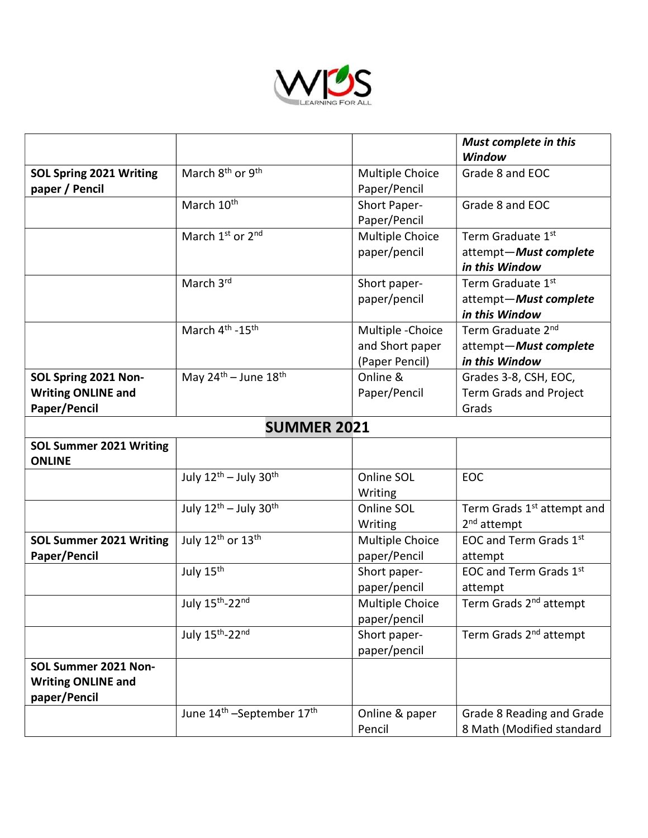

|                                                                   |                                                   |                                                        | <b>Must complete in this</b><br>Window                                   |
|-------------------------------------------------------------------|---------------------------------------------------|--------------------------------------------------------|--------------------------------------------------------------------------|
| <b>SOL Spring 2021 Writing</b><br>paper / Pencil                  | March 8 <sup>th</sup> or 9 <sup>th</sup>          | Multiple Choice<br>Paper/Pencil                        | Grade 8 and EOC                                                          |
|                                                                   | March 10 <sup>th</sup>                            | Short Paper-<br>Paper/Pencil                           | Grade 8 and EOC                                                          |
|                                                                   | March 1st or 2nd                                  | Multiple Choice<br>paper/pencil                        | Term Graduate 1st<br>attempt-Must complete<br>in this Window             |
|                                                                   | March 3rd                                         | Short paper-<br>paper/pencil                           | Term Graduate 1st<br>attempt-Must complete<br>in this Window             |
|                                                                   | March 4 <sup>th</sup> -15 <sup>th</sup>           | Multiple - Choice<br>and Short paper<br>(Paper Pencil) | Term Graduate 2 <sup>nd</sup><br>attempt-Must complete<br>in this Window |
| SOL Spring 2021 Non-<br><b>Writing ONLINE and</b><br>Paper/Pencil | May $24^{th}$ – June $18^{th}$                    | Online &<br>Paper/Pencil                               | Grades 3-8, CSH, EOC,<br><b>Term Grads and Project</b><br>Grads          |
|                                                                   | <b>SUMMER 2021</b>                                |                                                        |                                                                          |
| <b>SOL Summer 2021 Writing</b><br><b>ONLINE</b>                   |                                                   |                                                        |                                                                          |
|                                                                   | July 12 <sup>th</sup> - July 30 <sup>th</sup>     | Online SOL<br>Writing                                  | <b>EOC</b>                                                               |
|                                                                   | July 12th - July 30th                             | Online SOL<br>Writing                                  | Term Grads 1 <sup>st</sup> attempt and<br>2 <sup>nd</sup> attempt        |
| <b>SOL Summer 2021 Writing</b><br>Paper/Pencil                    | July 12 <sup>th</sup> or 13 <sup>th</sup>         | Multiple Choice<br>paper/Pencil                        | EOC and Term Grads 1st<br>attempt                                        |
|                                                                   | July 15 <sup>th</sup>                             | Short paper-<br>paper/pencil                           | EOC and Term Grads 1st<br>attempt                                        |
|                                                                   | July 15 <sup>th</sup> -22 <sup>nd</sup>           | Multiple Choice<br>paper/pencil                        | Term Grads 2 <sup>nd</sup> attempt                                       |
|                                                                   | July 15th-22nd                                    | Short paper-<br>paper/pencil                           | Term Grads 2 <sup>nd</sup> attempt                                       |
| SOL Summer 2021 Non-<br><b>Writing ONLINE and</b><br>paper/Pencil |                                                   |                                                        |                                                                          |
|                                                                   | June 14 <sup>th</sup> -September 17 <sup>th</sup> | Online & paper<br>Pencil                               | Grade 8 Reading and Grade<br>8 Math (Modified standard                   |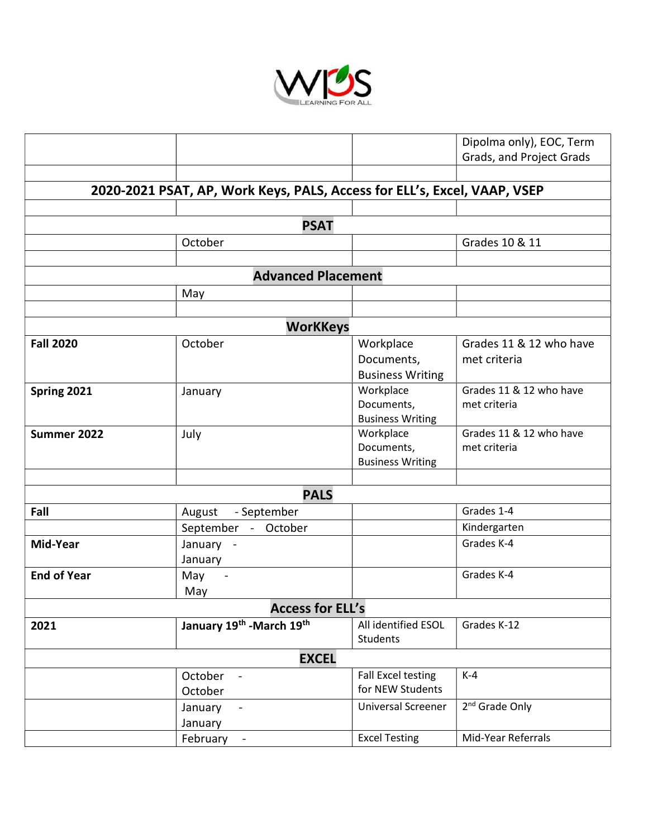

|                                                                          |                                      |                                                    | Dipolma only), EOC, Term                |  |  |  |
|--------------------------------------------------------------------------|--------------------------------------|----------------------------------------------------|-----------------------------------------|--|--|--|
|                                                                          |                                      |                                                    | Grads, and Project Grads                |  |  |  |
|                                                                          |                                      |                                                    |                                         |  |  |  |
| 2020-2021 PSAT, AP, Work Keys, PALS, Access for ELL's, Excel, VAAP, VSEP |                                      |                                                    |                                         |  |  |  |
|                                                                          |                                      |                                                    |                                         |  |  |  |
|                                                                          | <b>PSAT</b>                          |                                                    |                                         |  |  |  |
|                                                                          | October                              |                                                    | Grades 10 & 11                          |  |  |  |
|                                                                          |                                      |                                                    |                                         |  |  |  |
|                                                                          | <b>Advanced Placement</b>            |                                                    |                                         |  |  |  |
|                                                                          | May                                  |                                                    |                                         |  |  |  |
|                                                                          |                                      |                                                    |                                         |  |  |  |
|                                                                          | <b>WorKKeys</b>                      |                                                    |                                         |  |  |  |
| <b>Fall 2020</b>                                                         | October                              | Workplace<br>Documents,<br><b>Business Writing</b> | Grades 11 & 12 who have<br>met criteria |  |  |  |
| Spring 2021                                                              | January                              | Workplace<br>Documents,<br><b>Business Writing</b> | Grades 11 & 12 who have<br>met criteria |  |  |  |
| Summer 2022                                                              | July                                 | Workplace<br>Documents,<br><b>Business Writing</b> | Grades 11 & 12 who have<br>met criteria |  |  |  |
|                                                                          |                                      |                                                    |                                         |  |  |  |
|                                                                          | <b>PALS</b>                          |                                                    |                                         |  |  |  |
| Fall                                                                     | - September<br>August                |                                                    | Grades 1-4                              |  |  |  |
|                                                                          | September - October                  |                                                    | Kindergarten                            |  |  |  |
| Mid-Year                                                                 | January -<br>January                 |                                                    | Grades K-4                              |  |  |  |
| <b>End of Year</b>                                                       | May<br>$\blacksquare$<br>May         |                                                    | Grades K-4                              |  |  |  |
|                                                                          | <b>Access for ELL's</b>              |                                                    |                                         |  |  |  |
| 2021                                                                     | January 19th - March 19th            | All identified ESOL<br><b>Students</b>             | Grades K-12                             |  |  |  |
| <b>EXCEL</b>                                                             |                                      |                                                    |                                         |  |  |  |
|                                                                          | October<br>$\blacksquare$<br>October | Fall Excel testing<br>for NEW Students             | $K-4$                                   |  |  |  |
|                                                                          | January<br>January                   | <b>Universal Screener</b>                          | 2 <sup>nd</sup> Grade Only              |  |  |  |
|                                                                          | February<br>$\blacksquare$           | <b>Excel Testing</b>                               | Mid-Year Referrals                      |  |  |  |